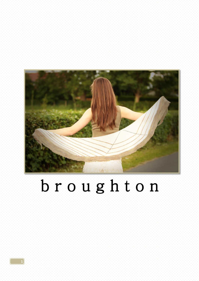

# broughton

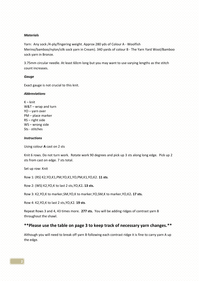## *Materials*

Yarn: Any sock /4-ply/fingering weight. Approx 280 yds of Colour A - Woolfish Merino/bamboo/nylon/silk sock yarn in Cream). 340 yards of colour B - The Yarn Yard Wool/Bamboo sock yarn in Bronze.

3.75mm circular needle. At least 60cm long but you may want to use varying lengths as the stitch count increases.

### *Gauge*

Exact gauge is not crucial to this knit.

#### *Abbreviations*

 $K -$  knit W&T – wrap and turn YO – yarn over PM – place marker RS – right side WS – wrong side Sts - stitches

## *Instructions*

Using colour **A** cast on 2 sts

Knit 6 rows. Do not turn work. Rotate work 90 degrees and pick up 3 sts along long edge. Pick up 2 sts from cast on edge. 7 sts total.

Set up row: Knit

Row 1: (RS) K2,YO,K1,PM,YO,K1,YO,PM,K1,YO,K2. **11 sts**.

Row 2: (WS) K2,YO,K to last 2 sts,YO,K2**. 13 sts.**

Row 3: K2,YO,K to marker,SM,YO,K to marker,YO,SM,K to marker,YO,K2**. 17 sts.**

Row 4: K2,YO,K to last 2 sts,YO,K2. **19 sts**.

Repeat Rows 3 and 4, 43 times more. **277 sts.** You will be adding ridges of contrast yarn B throughout the shawl.

# **\*\*Please use the table on page 3 to keep track of necessary yarn changes.\*\***

Although you will need to break off yarn B following each contrast ridge it is fine to carry yarn A up the edge.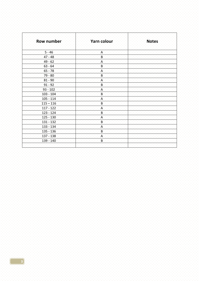| Row number  | Yarn colour  | <b>Notes</b> |
|-------------|--------------|--------------|
| $-5 - 46$   | A            |              |
| $47 - 48$   | B            |              |
| $-49 - 62$  | Α            |              |
| $63 - 64$   | B            |              |
| $65 - 78$   | A            |              |
| $79 - 80$   | B            |              |
| $81 - 90$   | Α            |              |
| $91 - 92$   | B            |              |
| $93 - 102$  | A            |              |
| $103 - 104$ | B            |              |
| $105 - 114$ | $\mathsf{A}$ |              |
| $115 - 116$ | B            |              |
| $117 - 122$ | A            |              |
| $123 - 124$ | B            |              |
| $125 - 130$ | A            |              |
| $131 - 132$ | B            |              |
| $133 - 134$ | A            |              |
| $135 - 136$ | B            |              |
| $137 - 138$ | A            |              |
| $139 - 140$ | B            |              |
|             |              |              |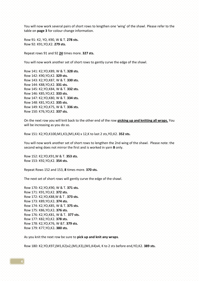You will now work several pairs of short rows to lengthen one 'wing' of the shawl. Please refer to the table on **page 3** for colour change information.

Row 91: K2, YO, K90, W & T. **278 sts.** Row 92: K91,YO,K2. **279 sts.**

Repeat rows 91 and 92 **24** times more. **327 sts.**

You will now work another set of short rows to gently curve the edge of the shawl.

Row 141: K2,YO,K89, W & T**. 328 sts.** Row 142: K90,YO,K2. **329 sts.** Row 143: K2,YO,K87, W & T. **330 sts.** Row 144: K88,YO,K2. **331 sts.** Row 145: K2,YO,K84, W & T. **332 sts.** Row 146: K85,YO,K2. **333 sts.** Row 147: K2,YO,K80, W & T. **334 sts.** Row 148: K81,YO,K2. **335 sts.** Row 149: K2,YO,K75, W & T. **336 sts.** Row 150: K76,YO,K2. **337 sts.**

On the next row you will knit back to the other end of the row **picking up and knitting all wraps.** You will be increasing as you do so.

Row 151: K2,YO,K100,M1,K3,(M1,K4) x 12,K to last 2 sts,YO,K2. **352 sts.**

You will now work another set of short rows to lengthen the 2nd wing of the shawl. Please note: the second wing does not mirror the first and is worked in yarn **B** only.

Row 152: K2,YO,K91,W & T. **353 sts.** Row 153: K92,YO,K2. **354 sts.**

Repeat Rows 152 and 153, **8** times more. **370 sts.**

The next set of short rows will gently curve the edge of the shawl.

Row 170: K2,YO,K90, W & T. **371 sts.** Row 171: K91,YO,K2. **372 sts.** Row 172: K2,YO,K88,W & T . **373 sts.** Row 173: K89,YO,K2**. 374 sts.** Row 174: K2,YO,K85, W & T. **375 sts.** Row 175: K86,YO,K2**. 376 sts.** Row 176: K2,YO,K81, W & T. **377 sts.** Row 177: K82,YO,K2. **378 sts.** Row 178: K2,YO,K76, W &T. **379 sts.** Row 179: K77,YO,K2**. 380 sts.**

As you knit the next row be sure to **pick up and knit any wraps**.

Row 180: K2,YO,K97,(M1,K2)x2,(M1,K3),(M1,K4)x4, K to 2 sts before end,YO,K2. **389 sts.**